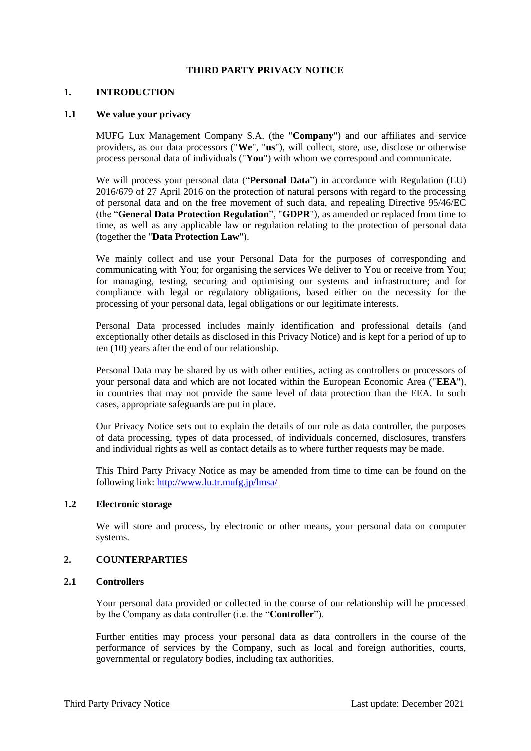### **THIRD PARTY PRIVACY NOTICE**

#### **1. INTRODUCTION**

#### **1.1 We value your privacy**

MUFG Lux Management Company S.A. (the "**Company**") and our affiliates and service providers, as our data processors ("**We**", "**us**"), will collect, store, use, disclose or otherwise process personal data of individuals ("**You**") with whom we correspond and communicate.

We will process your personal data ("**Personal Data**") in accordance with Regulation (EU) 2016/679 of 27 April 2016 on the protection of natural persons with regard to the processing of personal data and on the free movement of such data, and repealing Directive 95/46/EC (the "**General Data Protection Regulation**", "**GDPR**"), as amended or replaced from time to time, as well as any applicable law or regulation relating to the protection of personal data (together the "**Data Protection Law**").

We mainly collect and use your Personal Data for the purposes of corresponding and communicating with You; for organising the services We deliver to You or receive from You; for managing, testing, securing and optimising our systems and infrastructure; and for compliance with legal or regulatory obligations, based either on the necessity for the processing of your personal data, legal obligations or our legitimate interests.

Personal Data processed includes mainly identification and professional details (and exceptionally other details as disclosed in this Privacy Notice) and is kept for a period of up to ten (10) years after the end of our relationship.

Personal Data may be shared by us with other entities, acting as controllers or processors of your personal data and which are not located within the European Economic Area ("**EEA**"), in countries that may not provide the same level of data protection than the EEA. In such cases, appropriate safeguards are put in place.

Our Privacy Notice sets out to explain the details of our role as data controller, the purposes of data processing, types of data processed, of individuals concerned, disclosures, transfers and individual rights as well as contact details as to where further requests may be made.

This Third Party Privacy Notice as may be amended from time to time can be found on the following link:<http://www.lu.tr.mufg.jp/lmsa/>

## **1.2 Electronic storage**

We will store and process, by electronic or other means, your personal data on computer systems.

### **2. COUNTERPARTIES**

## **2.1 Controllers**

Your personal data provided or collected in the course of our relationship will be processed by the Company as data controller (i.e. the "**Controller**").

Further entities may process your personal data as data controllers in the course of the performance of services by the Company, such as local and foreign authorities, courts, governmental or regulatory bodies, including tax authorities.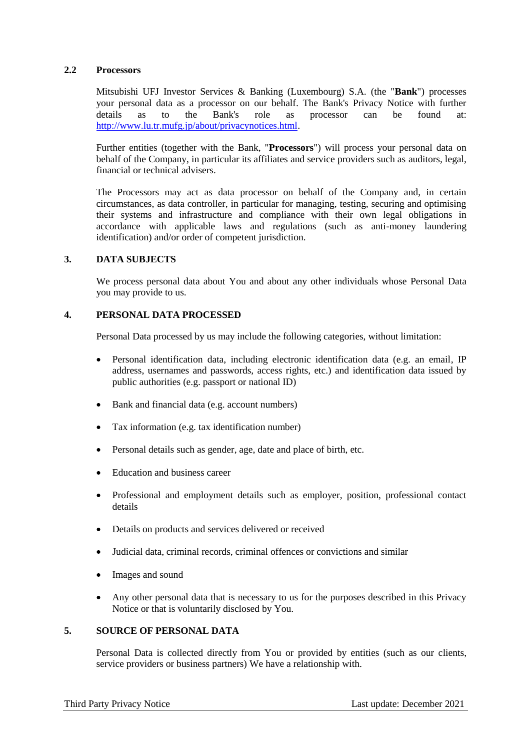### **2.2 Processors**

Mitsubishi UFJ Investor Services & Banking (Luxembourg) S.A. (the "**Bank**") processes your personal data as a processor on our behalf. The Bank's Privacy Notice with further details as to the Bank's role as processor can be found at: [http://www.lu.tr.mufg.jp/about/privacynotices.html.](http://www.lu.tr.mufg.jp/about/privacynotices.html)

Further entities (together with the Bank, "**Processors**") will process your personal data on behalf of the Company, in particular its affiliates and service providers such as auditors, legal, financial or technical advisers.

The Processors may act as data processor on behalf of the Company and, in certain circumstances, as data controller, in particular for managing, testing, securing and optimising their systems and infrastructure and compliance with their own legal obligations in accordance with applicable laws and regulations (such as anti-money laundering identification) and/or order of competent jurisdiction.

# **3. DATA SUBJECTS**

We process personal data about You and about any other individuals whose Personal Data you may provide to us.

#### **4. PERSONAL DATA PROCESSED**

Personal Data processed by us may include the following categories, without limitation:

- Personal identification data, including electronic identification data (e.g. an email, IP address, usernames and passwords, access rights, etc.) and identification data issued by public authorities (e.g. passport or national ID)
- Bank and financial data (e.g. account numbers)
- Tax information (e.g. tax identification number)
- Personal details such as gender, age, date and place of birth, etc.
- Education and business career
- Professional and employment details such as employer, position, professional contact details
- Details on products and services delivered or received
- Judicial data, criminal records, criminal offences or convictions and similar
- Images and sound
- Any other personal data that is necessary to us for the purposes described in this Privacy Notice or that is voluntarily disclosed by You.

# **5. SOURCE OF PERSONAL DATA**

Personal Data is collected directly from You or provided by entities (such as our clients, service providers or business partners) We have a relationship with.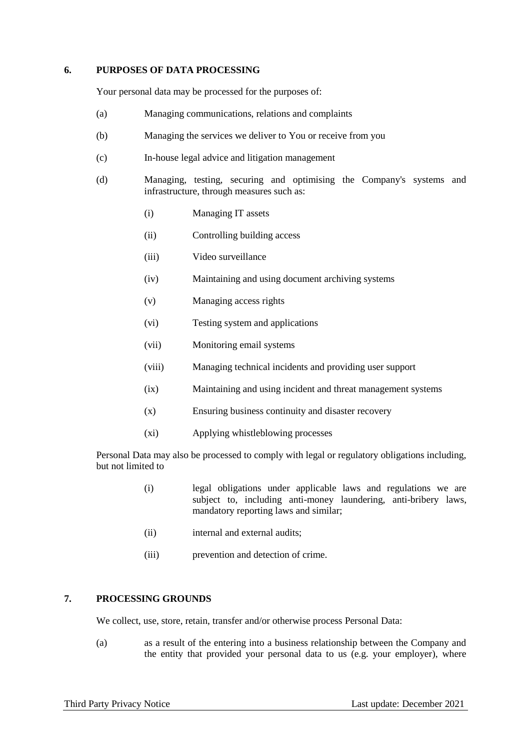### **6. PURPOSES OF DATA PROCESSING**

Your personal data may be processed for the purposes of:

- (a) Managing communications, relations and complaints
- (b) Managing the services we deliver to You or receive from you
- (c) In-house legal advice and litigation management
- (d) Managing, testing, securing and optimising the Company's systems and infrastructure, through measures such as:
	- (i) Managing IT assets
	- (ii) Controlling building access
	- (iii) Video surveillance
	- (iv) Maintaining and using document archiving systems
	- (v) Managing access rights
	- (vi) Testing system and applications
	- (vii) Monitoring email systems
	- (viii) Managing technical incidents and providing user support
	- (ix) Maintaining and using incident and threat management systems
	- (x) Ensuring business continuity and disaster recovery
	- (xi) Applying whistleblowing processes

Personal Data may also be processed to comply with legal or regulatory obligations including, but not limited to

- (i) legal obligations under applicable laws and regulations we are subject to, including anti-money laundering, anti-bribery laws, mandatory reporting laws and similar;
- (ii) internal and external audits;
- (iii) prevention and detection of crime.

# **7. PROCESSING GROUNDS**

We collect, use, store, retain, transfer and/or otherwise process Personal Data:

(a) as a result of the entering into a business relationship between the Company and the entity that provided your personal data to us (e.g. your employer), where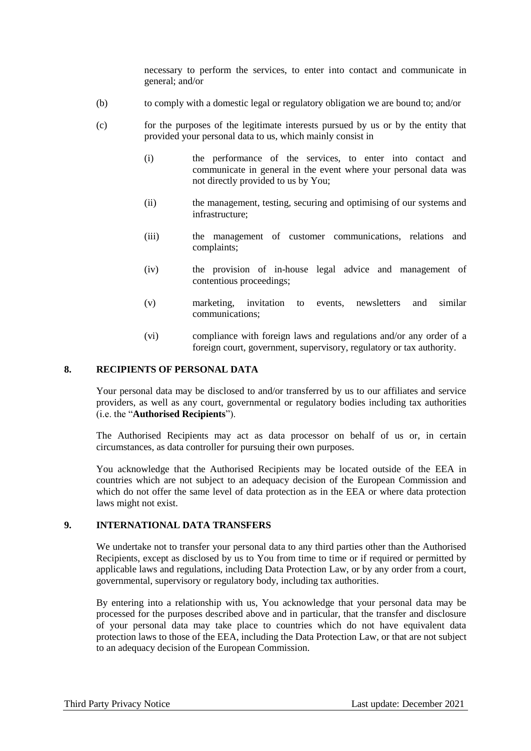necessary to perform the services, to enter into contact and communicate in general; and/or

- (b) to comply with a domestic legal or regulatory obligation we are bound to; and/or
- (c) for the purposes of the legitimate interests pursued by us or by the entity that provided your personal data to us, which mainly consist in
	- (i) the performance of the services, to enter into contact and communicate in general in the event where your personal data was not directly provided to us by You;
	- (ii) the management, testing, securing and optimising of our systems and infrastructure;
	- (iii) the management of customer communications, relations and complaints;
	- (iv) the provision of in-house legal advice and management of contentious proceedings;
	- (v) marketing, invitation to events, newsletters and similar communications;
	- (vi) compliance with foreign laws and regulations and/or any order of a foreign court, government, supervisory, regulatory or tax authority.

### **8. RECIPIENTS OF PERSONAL DATA**

Your personal data may be disclosed to and/or transferred by us to our affiliates and service providers, as well as any court, governmental or regulatory bodies including tax authorities (i.e. the "**Authorised Recipients**").

The Authorised Recipients may act as data processor on behalf of us or, in certain circumstances, as data controller for pursuing their own purposes.

You acknowledge that the Authorised Recipients may be located outside of the EEA in countries which are not subject to an adequacy decision of the European Commission and which do not offer the same level of data protection as in the EEA or where data protection laws might not exist.

# **9. INTERNATIONAL DATA TRANSFERS**

We undertake not to transfer your personal data to any third parties other than the Authorised Recipients, except as disclosed by us to You from time to time or if required or permitted by applicable laws and regulations, including Data Protection Law, or by any order from a court, governmental, supervisory or regulatory body, including tax authorities.

By entering into a relationship with us, You acknowledge that your personal data may be processed for the purposes described above and in particular, that the transfer and disclosure of your personal data may take place to countries which do not have equivalent data protection laws to those of the EEA, including the Data Protection Law, or that are not subject to an adequacy decision of the European Commission.